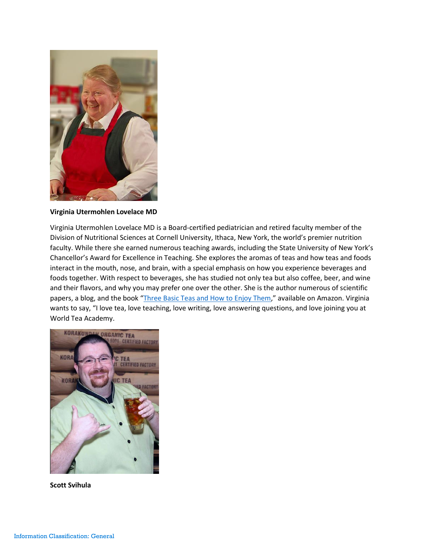

**Virginia Utermohlen Lovelace MD**

Virginia Utermohlen Lovelace MD is a Board-certified pediatrician and retired faculty member of the Division of Nutritional Sciences at Cornell University, Ithaca, New York, the world's premier nutrition faculty. While there she earned numerous teaching awards, including the State University of New York's Chancellor's Award for Excellence in Teaching. She explores the aromas of teas and how teas and foods interact in the mouth, nose, and brain, with a special emphasis on how you experience beverages and foods together. With respect to beverages, she has studied not only tea but also coffee, beer, and wine and their flavors, and why you may prefer one over the other. She is the author numerous of scientific papers, a blog, and the book "[Three Basic Teas and How to Enjoy Them](https://www.amazon.com/Three-Basic-Teas-Enjoy-Them-ebook/dp/B07692DJ4P/ref=sr_1_1?ie=UTF8&qid=1529888328&sr=8-1&keywords=three+basic+teas+and+how+to+enjoy+them)," available on Amazon. Virginia wants to say, "I love tea, love teaching, love writing, love answering questions, and love joining you at World Tea Academy.



**Scott Svihula**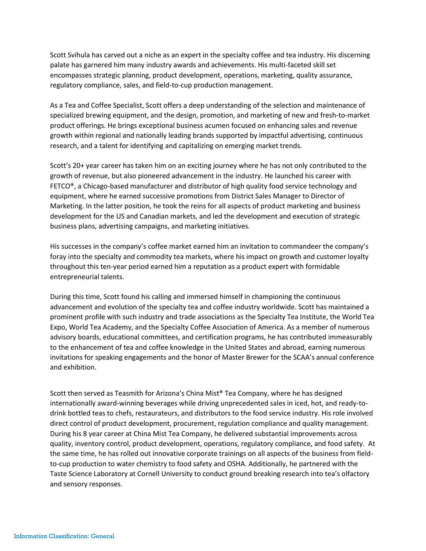Scott Svihula has carved out a niche as an expert in the specialty coffee and tea industry. His discerning palate has garnered him many industry awards and achievements. His multi-faceted skill set encompasses strategic planning, product development, operations, marketing, quality assurance, regulatory compliance, sales, and field-to-cup production management.

As a Tea and Coffee Specialist, Scott offers a deep understanding of the selection and maintenance of specialized brewing equipment, and the design, promotion, and marketing of new and fresh-to-market product offerings. He brings exceptional business acumen focused on enhancing sales and revenue growth within regional and nationally leading brands supported by impactful advertising, continuous research, and a talent for identifying and capitalizing on emerging market trends.

Scott's 20+ year career has taken him on an exciting journey where he has not only contributed to the growth of revenue, but also pioneered advancement in the industry. He launched his career with FETCO®, a Chicago-based manufacturer and distributor of high quality food service technology and equipment, where he earned successive promotions from District Sales Manager to Director of Marketing. In the latter position, he took the reins for all aspects of product marketing and business development for the US and Canadian markets, and led the development and execution of strategic business plans, advertising campaigns, and marketing initiatives.

His successes in the company's coffee market earned him an invitation to commandeer the company's foray into the specialty and commodity tea markets, where his impact on growth and customer loyalty throughout this ten-year period earned him a reputation as a product expert with formidable entrepreneurial talents.

During this time, Scott found his calling and immersed himself in championing the continuous advancement and evolution of the specialty tea and coffee industry worldwide. Scott has maintained a prominent profile with such industry and trade associations as the Specialty Tea Institute, the World Tea Expo, World Tea Academy, and the Specialty Coffee Association of America. As a member of numerous advisory boards, educational committees, and certification programs, he has contributed immeasurably to the enhancement of tea and coffee knowledge in the United States and abroad, earning numerous invitations for speaking engagements and the honor of Master Brewer for the SCAA's annual conference and exhibition.

Scott then served as Teasmith for Arizona's China Mist® Tea Company, where he has designed internationally award-winning beverages while driving unprecedented sales in iced, hot, and ready-todrink bottled teas to chefs, restaurateurs, and distributors to the food service industry. His role involved direct control of product development, procurement, regulation compliance and quality management. During his 8 year career at China Mist Tea Company, he delivered substantial improvements across quality, inventory control, product development, operations, regulatory compliance, and food safety. At the same time, he has rolled out innovative corporate trainings on all aspects of the business from fieldto-cup production to water chemistry to food safety and OSHA. Additionally, he partnered with the Taste Science Laboratory at Cornell University to conduct ground breaking research into tea's olfactory and sensory responses.